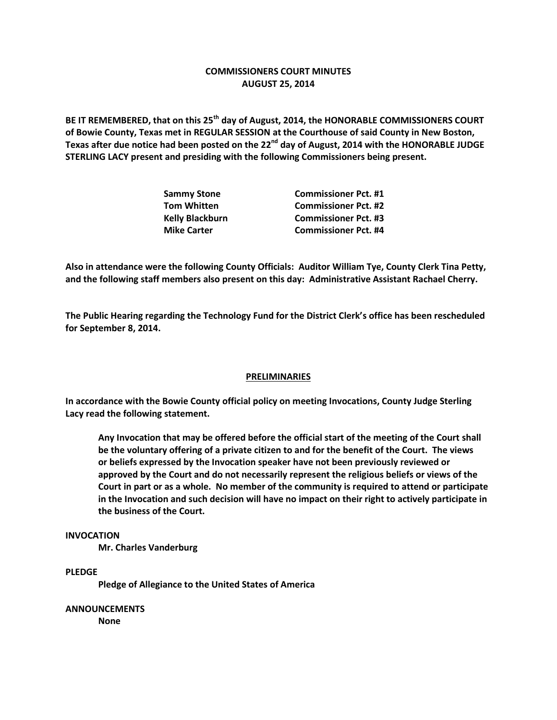## **COMMISSIONERS COURT MINUTES AUGUST 25, 2014**

**BE IT REMEMBERED, that on this 25th day of August, 2014, the HONORABLE COMMISSIONERS COURT of Bowie County, Texas met in REGULAR SESSION at the Courthouse of said County in New Boston, Texas after due notice had been posted on the 22nd day of August, 2014 with the HONORABLE JUDGE STERLING LACY present and presiding with the following Commissioners being present.**

| <b>Commissioner Pct. #1</b> |
|-----------------------------|
| <b>Commissioner Pct. #2</b> |
| <b>Commissioner Pct. #3</b> |
| <b>Commissioner Pct. #4</b> |
|                             |

**Also in attendance were the following County Officials: Auditor William Tye, County Clerk Tina Petty, and the following staff members also present on this day: Administrative Assistant Rachael Cherry.**

**The Public Hearing regarding the Technology Fund for the District Clerk's office has been rescheduled for September 8, 2014.**

### **PRELIMINARIES**

**In accordance with the Bowie County official policy on meeting Invocations, County Judge Sterling Lacy read the following statement.**

**Any Invocation that may be offered before the official start of the meeting of the Court shall be the voluntary offering of a private citizen to and for the benefit of the Court. The views or beliefs expressed by the Invocation speaker have not been previously reviewed or approved by the Court and do not necessarily represent the religious beliefs or views of the Court in part or as a whole. No member of the community is required to attend or participate in the Invocation and such decision will have no impact on their right to actively participate in the business of the Court.**

#### **INVOCATION**

**Mr. Charles Vanderburg**

#### **PLEDGE**

**Pledge of Allegiance to the United States of America**

**ANNOUNCEMENTS None**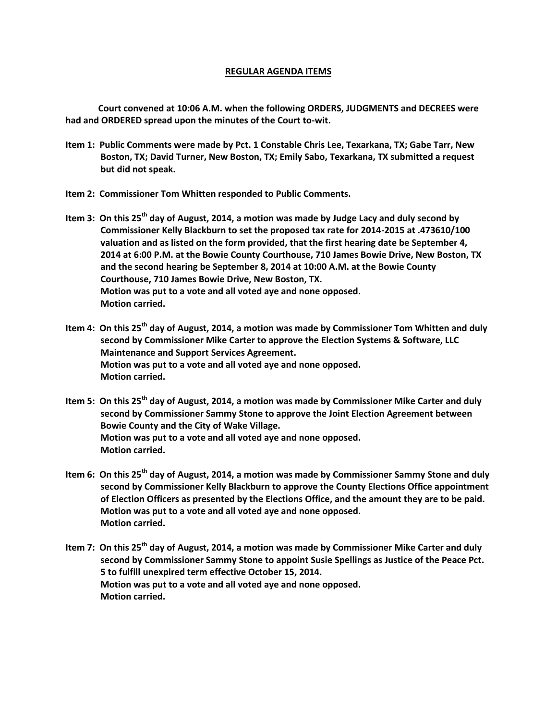### **REGULAR AGENDA ITEMS**

**Court convened at 10:06 A.M. when the following ORDERS, JUDGMENTS and DECREES were had and ORDERED spread upon the minutes of the Court to-wit.**

- **Item 1: Public Comments were made by Pct. 1 Constable Chris Lee, Texarkana, TX; Gabe Tarr, New Boston, TX; David Turner, New Boston, TX; Emily Sabo, Texarkana, TX submitted a request but did not speak.**
- **Item 2: Commissioner Tom Whitten responded to Public Comments.**
- **Item 3: On this 25th day of August, 2014, a motion was made by Judge Lacy and duly second by Commissioner Kelly Blackburn to set the proposed tax rate for 2014-2015 at .473610/100 valuation and as listed on the form provided, that the first hearing date be September 4, 2014 at 6:00 P.M. at the Bowie County Courthouse, 710 James Bowie Drive, New Boston, TX and the second hearing be September 8, 2014 at 10:00 A.M. at the Bowie County Courthouse, 710 James Bowie Drive, New Boston, TX. Motion was put to a vote and all voted aye and none opposed. Motion carried.**
- **Item 4: On this 25th day of August, 2014, a motion was made by Commissioner Tom Whitten and duly second by Commissioner Mike Carter to approve the Election Systems & Software, LLC Maintenance and Support Services Agreement. Motion was put to a vote and all voted aye and none opposed. Motion carried.**
- **Item 5: On this 25th day of August, 2014, a motion was made by Commissioner Mike Carter and duly second by Commissioner Sammy Stone to approve the Joint Election Agreement between Bowie County and the City of Wake Village. Motion was put to a vote and all voted aye and none opposed. Motion carried.**
- **Item 6: On this 25th day of August, 2014, a motion was made by Commissioner Sammy Stone and duly second by Commissioner Kelly Blackburn to approve the County Elections Office appointment of Election Officers as presented by the Elections Office, and the amount they are to be paid. Motion was put to a vote and all voted aye and none opposed. Motion carried.**
- **Item 7: On this 25th day of August, 2014, a motion was made by Commissioner Mike Carter and duly second by Commissioner Sammy Stone to appoint Susie Spellings as Justice of the Peace Pct. 5 to fulfill unexpired term effective October 15, 2014. Motion was put to a vote and all voted aye and none opposed. Motion carried.**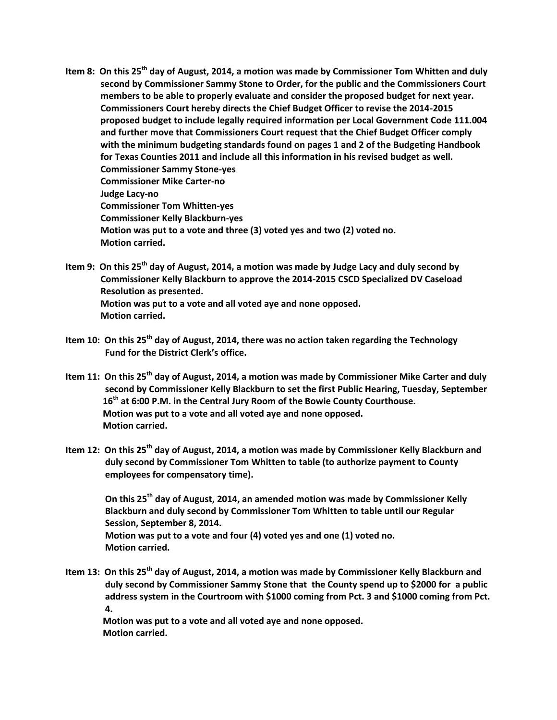- **Item 8: On this 25th day of August, 2014, a motion was made by Commissioner Tom Whitten and duly second by Commissioner Sammy Stone to Order, for the public and the Commissioners Court members to be able to properly evaluate and consider the proposed budget for next year. Commissioners Court hereby directs the Chief Budget Officer to revise the 2014-2015 proposed budget to include legally required information per Local Government Code 111.004 and further move that Commissioners Court request that the Chief Budget Officer comply with the minimum budgeting standards found on pages 1 and 2 of the Budgeting Handbook for Texas Counties 2011 and include all this information in his revised budget as well. Commissioner Sammy Stone-yes Commissioner Mike Carter-no Judge Lacy-no Commissioner Tom Whitten-yes Commissioner Kelly Blackburn-yes Motion was put to a vote and three (3) voted yes and two (2) voted no. Motion carried.**
- **Item 9: On this 25th day of August, 2014, a motion was made by Judge Lacy and duly second by Commissioner Kelly Blackburn to approve the 2014-2015 CSCD Specialized DV Caseload Resolution as presented. Motion was put to a vote and all voted aye and none opposed. Motion carried.**
- **Item 10: On this 25th day of August, 2014, there was no action taken regarding the Technology Fund for the District Clerk's office.**
- **Item 11: On this 25th day of August, 2014, a motion was made by Commissioner Mike Carter and duly second by Commissioner Kelly Blackburn to set the first Public Hearing, Tuesday, September 16th at 6:00 P.M. in the Central Jury Room of the Bowie County Courthouse. Motion was put to a vote and all voted aye and none opposed. Motion carried.**
- **Item 12: On this 25th day of August, 2014, a motion was made by Commissioner Kelly Blackburn and duly second by Commissioner Tom Whitten to table (to authorize payment to County employees for compensatory time).**

 **On this 25th day of August, 2014, an amended motion was made by Commissioner Kelly Blackburn and duly second by Commissioner Tom Whitten to table until our Regular Session, September 8, 2014. Motion was put to a vote and four (4) voted yes and one (1) voted no. Motion carried.**

**Item 13: On this 25th day of August, 2014, a motion was made by Commissioner Kelly Blackburn and duly second by Commissioner Sammy Stone that the County spend up to \$2000 for a public address system in the Courtroom with \$1000 coming from Pct. 3 and \$1000 coming from Pct. 4.**

 **Motion was put to a vote and all voted aye and none opposed. Motion carried.**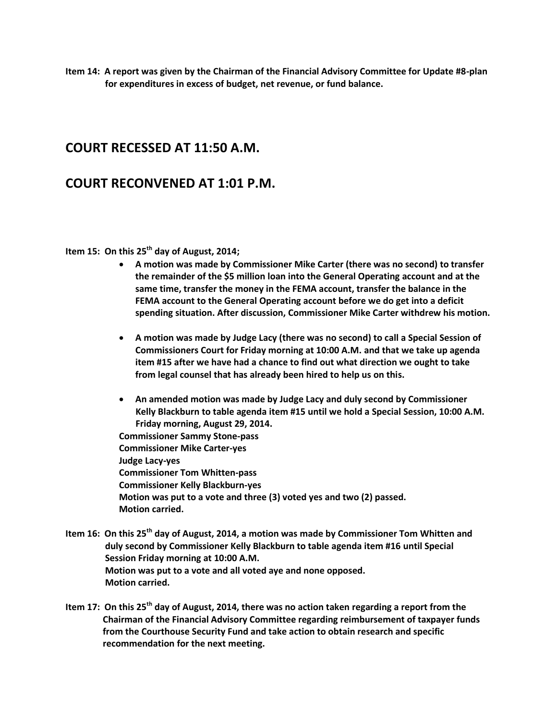**Item 14: A report was given by the Chairman of the Financial Advisory Committee for Update #8-plan for expenditures in excess of budget, net revenue, or fund balance.**

# **COURT RECESSED AT 11:50 A.M.**

## **COURT RECONVENED AT 1:01 P.M.**

## **Item 15: On this 25th day of August, 2014;**

- **A motion was made by Commissioner Mike Carter (there was no second) to transfer the remainder of the \$5 million loan into the General Operating account and at the same time, transfer the money in the FEMA account, transfer the balance in the FEMA account to the General Operating account before we do get into a deficit spending situation. After discussion, Commissioner Mike Carter withdrew his motion.**
- **A motion was made by Judge Lacy (there was no second) to call a Special Session of Commissioners Court for Friday morning at 10:00 A.M. and that we take up agenda item #15 after we have had a chance to find out what direction we ought to take from legal counsel that has already been hired to help us on this.**
- **An amended motion was made by Judge Lacy and duly second by Commissioner Kelly Blackburn to table agenda item #15 until we hold a Special Session, 10:00 A.M. Friday morning, August 29, 2014.**

**Commissioner Sammy Stone-pass Commissioner Mike Carter-yes Judge Lacy-yes Commissioner Tom Whitten-pass Commissioner Kelly Blackburn-yes Motion was put to a vote and three (3) voted yes and two (2) passed. Motion carried.**

- **Item 16: On this 25th day of August, 2014, a motion was made by Commissioner Tom Whitten and duly second by Commissioner Kelly Blackburn to table agenda item #16 until Special Session Friday morning at 10:00 A.M. Motion was put to a vote and all voted aye and none opposed. Motion carried.**
- **Item 17: On this 25th day of August, 2014, there was no action taken regarding a report from the Chairman of the Financial Advisory Committee regarding reimbursement of taxpayer funds from the Courthouse Security Fund and take action to obtain research and specific recommendation for the next meeting.**